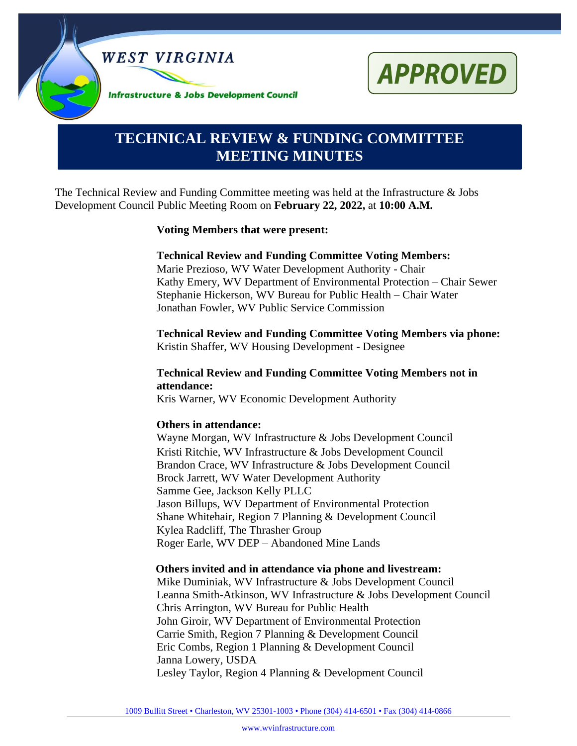



# **TECHNICAL REVIEW & FUNDING COMMITTEE MEETING MINUTES**

The Technical Review and Funding Committee meeting was held at the Infrastructure & Jobs Development Council Public Meeting Room on **February 22, 2022,** at **10:00 A.M.**

#### **Voting Members that were present:**

#### **Technical Review and Funding Committee Voting Members:**

Marie Prezioso, WV Water Development Authority - Chair Kathy Emery, WV Department of Environmental Protection – Chair Sewer Stephanie Hickerson, WV Bureau for Public Health – Chair Water Jonathan Fowler, WV Public Service Commission

**Technical Review and Funding Committee Voting Members via phone:** Kristin Shaffer, WV Housing Development - Designee

#### **Technical Review and Funding Committee Voting Members not in attendance:**

Kris Warner, WV Economic Development Authority

#### **Others in attendance:**

Wayne Morgan, WV Infrastructure & Jobs Development Council Kristi Ritchie, WV Infrastructure & Jobs Development Council Brandon Crace, WV Infrastructure & Jobs Development Council Brock Jarrett, WV Water Development Authority Samme Gee, Jackson Kelly PLLC Jason Billups, WV Department of Environmental Protection Shane Whitehair, Region 7 Planning & Development Council Kylea Radcliff, The Thrasher Group Roger Earle, WV DEP – Abandoned Mine Lands

#### **Others invited and in attendance via phone and livestream:**

Mike Duminiak, WV Infrastructure & Jobs Development Council Leanna Smith-Atkinson, WV Infrastructure & Jobs Development Council Chris Arrington, WV Bureau for Public Health John Giroir, WV Department of Environmental Protection Carrie Smith, Region 7 Planning & Development Council Eric Combs, Region 1 Planning & Development Council Janna Lowery, USDA Lesley Taylor, Region 4 Planning & Development Council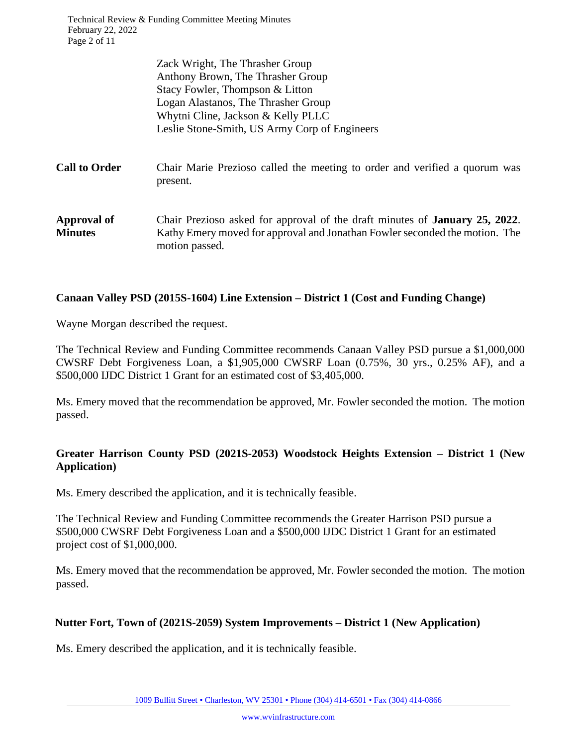Technical Review & Funding Committee Meeting Minutes February 22, 2022 Page 2 of 11

|                                      | Zack Wright, The Thrasher Group<br>Anthony Brown, The Thrasher Group<br>Stacy Fowler, Thompson & Litton<br>Logan Alastanos, The Thrasher Group<br>Whytni Cline, Jackson & Kelly PLLC<br>Leslie Stone-Smith, US Army Corp of Engineers |
|--------------------------------------|---------------------------------------------------------------------------------------------------------------------------------------------------------------------------------------------------------------------------------------|
| <b>Call to Order</b>                 | Chair Marie Prezioso called the meeting to order and verified a quorum was<br>present.                                                                                                                                                |
| <b>Approval of</b><br><b>Minutes</b> | Chair Prezioso asked for approval of the draft minutes of <b>January 25, 2022</b> .<br>Kathy Emery moved for approval and Jonathan Fowler seconded the motion. The<br>motion passed.                                                  |

#### **Canaan Valley PSD (2015S-1604) Line Extension – District 1 (Cost and Funding Change)**

Wayne Morgan described the request.

The Technical Review and Funding Committee recommends Canaan Valley PSD pursue a \$1,000,000 CWSRF Debt Forgiveness Loan, a \$1,905,000 CWSRF Loan (0.75%, 30 yrs., 0.25% AF), and a \$500,000 IJDC District 1 Grant for an estimated cost of \$3,405,000.

Ms. Emery moved that the recommendation be approved, Mr. Fowler seconded the motion. The motion passed.

### **Greater Harrison County PSD (2021S-2053) Woodstock Heights Extension – District 1 (New Application)**

Ms. Emery described the application, and it is technically feasible.

The Technical Review and Funding Committee recommends the Greater Harrison PSD pursue a \$500,000 CWSRF Debt Forgiveness Loan and a \$500,000 IJDC District 1 Grant for an estimated project cost of \$1,000,000.

Ms. Emery moved that the recommendation be approved, Mr. Fowler seconded the motion. The motion passed.

#### **Nutter Fort, Town of (2021S-2059) System Improvements – District 1 (New Application)**

Ms. Emery described the application, and it is technically feasible.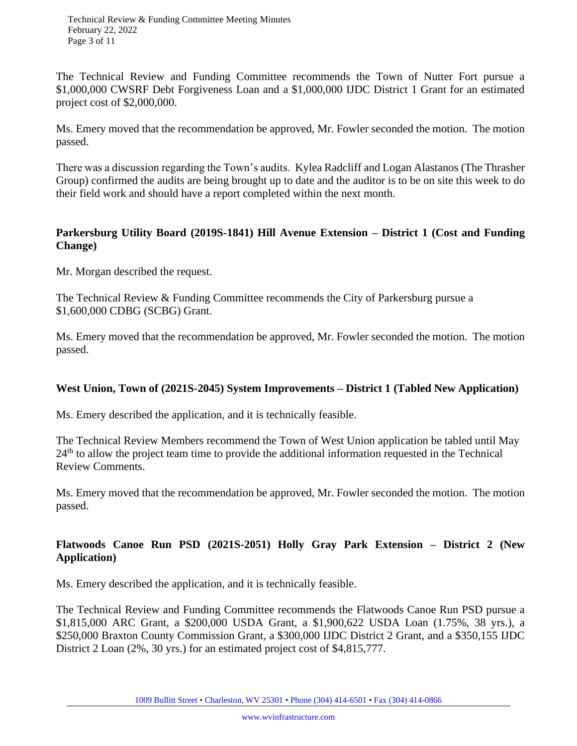The Technical Review and Funding Committee recommends the Town of Nutter Fort pursue a \$1,000,000 CWSRF Debt Forgiveness Loan and a \$1,000,000 IJDC District 1 Grant for an estimated project cost of \$2,000,000.

Ms. Emery moved that the recommendation be approved, Mr. Fowler seconded the motion. The motion passed.

There was a discussion regarding the Town's audits. Kylea Radcliff and Logan Alastanos (The Thrasher Group) confirmed the audits are being brought up to date and the auditor is to be on site this week to do their field work and should have a report completed within the next month.

#### **Parkersburg Utility Board (2019S-1841) Hill Avenue Extension – District 1 (Cost and Funding Change)**

Mr. Morgan described the request.

The Technical Review & Funding Committee recommends the City of Parkersburg pursue a \$1,600,000 CDBG (SCBG) Grant.

Ms. Emery moved that the recommendation be approved, Mr. Fowler seconded the motion. The motion passed.

#### **West Union, Town of (2021S-2045) System Improvements – District 1 (Tabled New Application)**

Ms. Emery described the application, and it is technically feasible.

The Technical Review Members recommend the Town of West Union application be tabled until May  $24<sup>th</sup>$  to allow the project team time to provide the additional information requested in the Technical Review Comments.

Ms. Emery moved that the recommendation be approved, Mr. Fowler seconded the motion. The motion passed.

### **Flatwoods Canoe Run PSD (2021S-2051) Holly Gray Park Extension – District 2 (New Application)**

Ms. Emery described the application, and it is technically feasible.

The Technical Review and Funding Committee recommends the Flatwoods Canoe Run PSD pursue a \$1,815,000 ARC Grant, a \$200,000 USDA Grant, a \$1,900,622 USDA Loan (1.75%, 38 yrs.), a \$250,000 Braxton County Commission Grant, a \$300,000 IJDC District 2 Grant, and a \$350,155 IJDC District 2 Loan (2%, 30 yrs.) for an estimated project cost of \$4,815,777.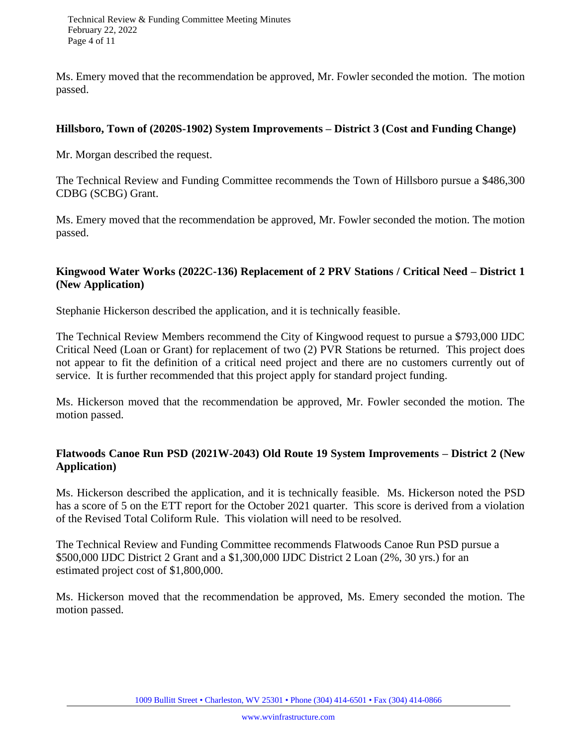Ms. Emery moved that the recommendation be approved, Mr. Fowler seconded the motion. The motion passed.

#### **Hillsboro, Town of (2020S-1902) System Improvements – District 3 (Cost and Funding Change)**

Mr. Morgan described the request.

The Technical Review and Funding Committee recommends the Town of Hillsboro pursue a \$486,300 CDBG (SCBG) Grant.

Ms. Emery moved that the recommendation be approved, Mr. Fowler seconded the motion. The motion passed.

### **Kingwood Water Works (2022C-136) Replacement of 2 PRV Stations / Critical Need – District 1 (New Application)**

Stephanie Hickerson described the application, and it is technically feasible.

The Technical Review Members recommend the City of Kingwood request to pursue a \$793,000 IJDC Critical Need (Loan or Grant) for replacement of two (2) PVR Stations be returned. This project does not appear to fit the definition of a critical need project and there are no customers currently out of service. It is further recommended that this project apply for standard project funding.

Ms. Hickerson moved that the recommendation be approved, Mr. Fowler seconded the motion. The motion passed.

### **Flatwoods Canoe Run PSD (2021W-2043) Old Route 19 System Improvements – District 2 (New Application)**

Ms. Hickerson described the application, and it is technically feasible. Ms. Hickerson noted the PSD has a score of 5 on the ETT report for the October 2021 quarter. This score is derived from a violation of the Revised Total Coliform Rule. This violation will need to be resolved.

The Technical Review and Funding Committee recommends Flatwoods Canoe Run PSD pursue a \$500,000 IJDC District 2 Grant and a \$1,300,000 IJDC District 2 Loan (2%, 30 yrs.) for an estimated project cost of \$1,800,000.

Ms. Hickerson moved that the recommendation be approved, Ms. Emery seconded the motion. The motion passed.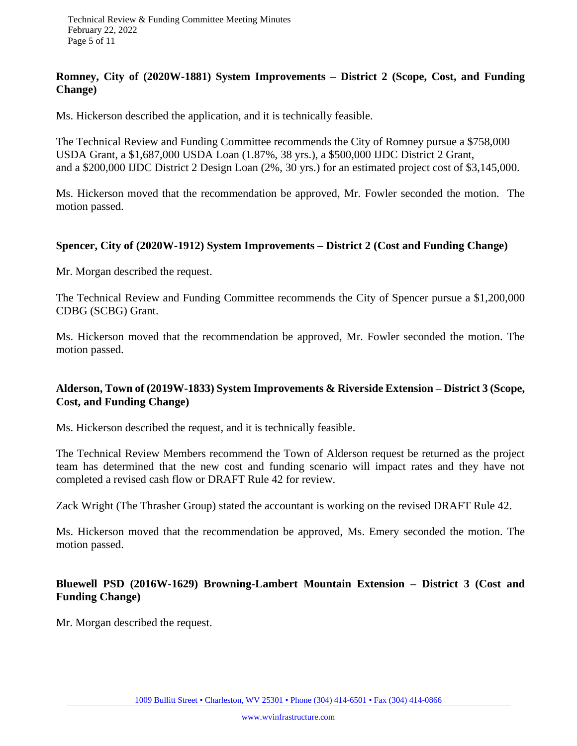#### **Romney, City of (2020W-1881) System Improvements – District 2 (Scope, Cost, and Funding Change)**

Ms. Hickerson described the application, and it is technically feasible.

The Technical Review and Funding Committee recommends the City of Romney pursue a \$758,000 USDA Grant, a \$1,687,000 USDA Loan (1.87%, 38 yrs.), a \$500,000 IJDC District 2 Grant, and a \$200,000 IJDC District 2 Design Loan (2%, 30 yrs.) for an estimated project cost of \$3,145,000.

Ms. Hickerson moved that the recommendation be approved, Mr. Fowler seconded the motion. The motion passed.

#### **Spencer, City of (2020W-1912) System Improvements – District 2 (Cost and Funding Change)**

Mr. Morgan described the request.

The Technical Review and Funding Committee recommends the City of Spencer pursue a \$1,200,000 CDBG (SCBG) Grant.

Ms. Hickerson moved that the recommendation be approved, Mr. Fowler seconded the motion. The motion passed.

### **Alderson, Town of (2019W-1833) System Improvements & Riverside Extension – District 3 (Scope, Cost, and Funding Change)**

Ms. Hickerson described the request, and it is technically feasible.

The Technical Review Members recommend the Town of Alderson request be returned as the project team has determined that the new cost and funding scenario will impact rates and they have not completed a revised cash flow or DRAFT Rule 42 for review.

Zack Wright (The Thrasher Group) stated the accountant is working on the revised DRAFT Rule 42.

Ms. Hickerson moved that the recommendation be approved, Ms. Emery seconded the motion. The motion passed.

### **Bluewell PSD (2016W-1629) Browning-Lambert Mountain Extension – District 3 (Cost and Funding Change)**

Mr. Morgan described the request.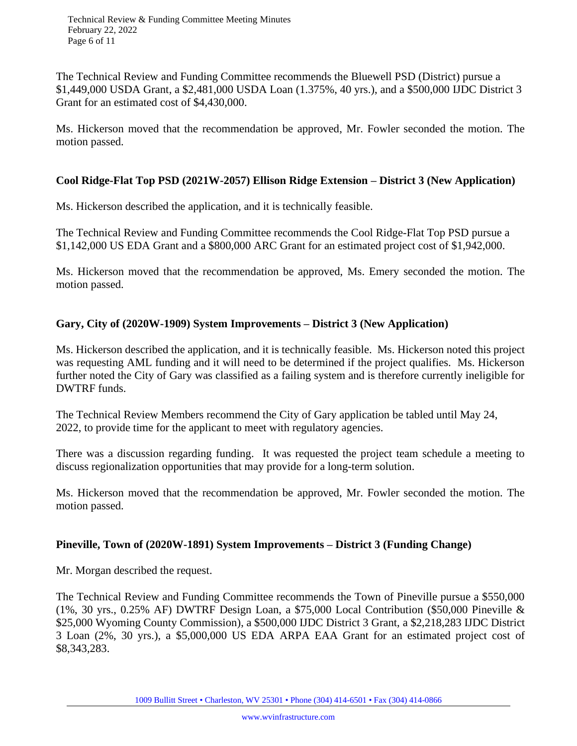The Technical Review and Funding Committee recommends the Bluewell PSD (District) pursue a \$1,449,000 USDA Grant, a \$2,481,000 USDA Loan (1.375%, 40 yrs.), and a \$500,000 IJDC District 3 Grant for an estimated cost of \$4,430,000.

Ms. Hickerson moved that the recommendation be approved, Mr. Fowler seconded the motion. The motion passed.

### **Cool Ridge-Flat Top PSD (2021W-2057) Ellison Ridge Extension – District 3 (New Application)**

Ms. Hickerson described the application, and it is technically feasible.

The Technical Review and Funding Committee recommends the Cool Ridge-Flat Top PSD pursue a \$1,142,000 US EDA Grant and a \$800,000 ARC Grant for an estimated project cost of \$1,942,000.

Ms. Hickerson moved that the recommendation be approved, Ms. Emery seconded the motion. The motion passed.

### **Gary, City of (2020W-1909) System Improvements – District 3 (New Application)**

Ms. Hickerson described the application, and it is technically feasible. Ms. Hickerson noted this project was requesting AML funding and it will need to be determined if the project qualifies. Ms. Hickerson further noted the City of Gary was classified as a failing system and is therefore currently ineligible for DWTRF funds.

The Technical Review Members recommend the City of Gary application be tabled until May 24, 2022, to provide time for the applicant to meet with regulatory agencies.

There was a discussion regarding funding. It was requested the project team schedule a meeting to discuss regionalization opportunities that may provide for a long-term solution.

Ms. Hickerson moved that the recommendation be approved, Mr. Fowler seconded the motion. The motion passed.

### **Pineville, Town of (2020W-1891) System Improvements – District 3 (Funding Change)**

Mr. Morgan described the request.

The Technical Review and Funding Committee recommends the Town of Pineville pursue a \$550,000 (1%, 30 yrs., 0.25% AF) DWTRF Design Loan, a \$75,000 Local Contribution (\$50,000 Pineville & \$25,000 Wyoming County Commission), a \$500,000 IJDC District 3 Grant, a \$2,218,283 IJDC District 3 Loan (2%, 30 yrs.), a \$5,000,000 US EDA ARPA EAA Grant for an estimated project cost of \$8,343,283.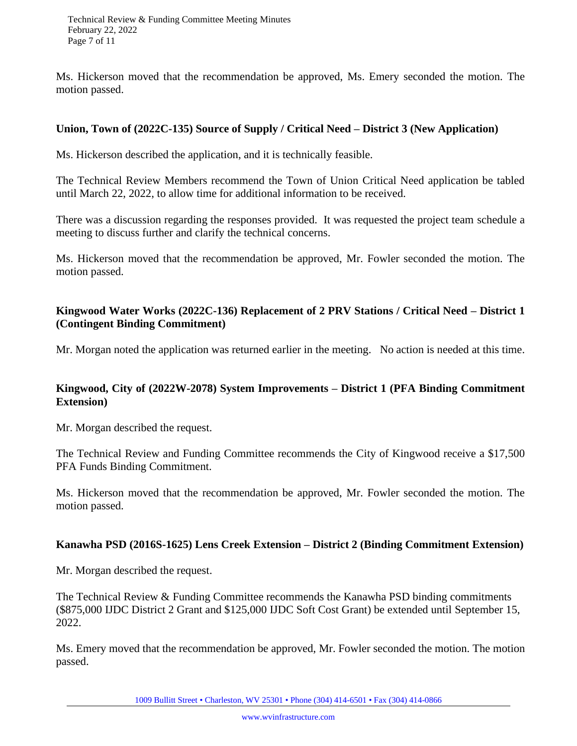Ms. Hickerson moved that the recommendation be approved, Ms. Emery seconded the motion. The motion passed.

#### **Union, Town of (2022C-135) Source of Supply / Critical Need – District 3 (New Application)**

Ms. Hickerson described the application, and it is technically feasible.

The Technical Review Members recommend the Town of Union Critical Need application be tabled until March 22, 2022, to allow time for additional information to be received.

There was a discussion regarding the responses provided. It was requested the project team schedule a meeting to discuss further and clarify the technical concerns.

Ms. Hickerson moved that the recommendation be approved, Mr. Fowler seconded the motion. The motion passed.

#### **Kingwood Water Works (2022C-136) Replacement of 2 PRV Stations / Critical Need – District 1 (Contingent Binding Commitment)**

Mr. Morgan noted the application was returned earlier in the meeting. No action is needed at this time.

### **Kingwood, City of (2022W-2078) System Improvements – District 1 (PFA Binding Commitment Extension)**

Mr. Morgan described the request.

The Technical Review and Funding Committee recommends the City of Kingwood receive a \$17,500 PFA Funds Binding Commitment.

Ms. Hickerson moved that the recommendation be approved, Mr. Fowler seconded the motion. The motion passed.

#### **Kanawha PSD (2016S-1625) Lens Creek Extension – District 2 (Binding Commitment Extension)**

Mr. Morgan described the request.

The Technical Review & Funding Committee recommends the Kanawha PSD binding commitments (\$875,000 IJDC District 2 Grant and \$125,000 IJDC Soft Cost Grant) be extended until September 15, 2022.

Ms. Emery moved that the recommendation be approved, Mr. Fowler seconded the motion. The motion passed.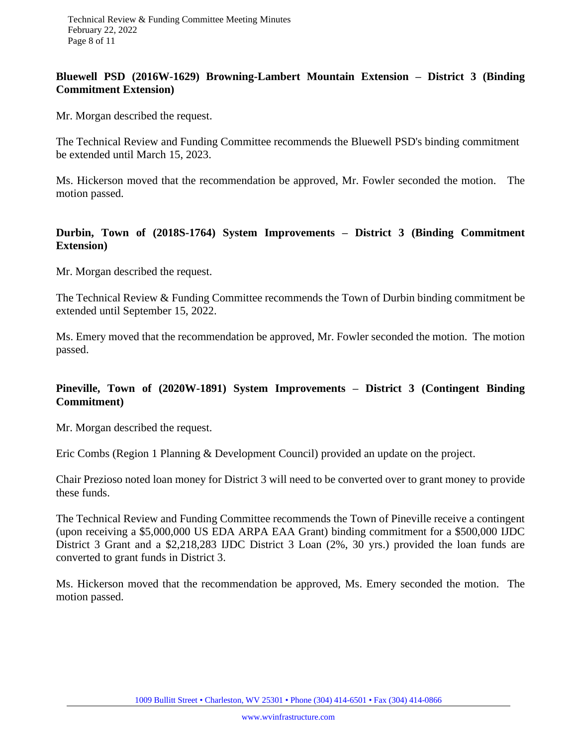#### **Bluewell PSD (2016W-1629) Browning-Lambert Mountain Extension – District 3 (Binding Commitment Extension)**

Mr. Morgan described the request.

The Technical Review and Funding Committee recommends the Bluewell PSD's binding commitment be extended until March 15, 2023.

Ms. Hickerson moved that the recommendation be approved, Mr. Fowler seconded the motion. The motion passed.

#### **Durbin, Town of (2018S-1764) System Improvements – District 3 (Binding Commitment Extension)**

Mr. Morgan described the request.

The Technical Review & Funding Committee recommends the Town of Durbin binding commitment be extended until September 15, 2022.

Ms. Emery moved that the recommendation be approved, Mr. Fowler seconded the motion. The motion passed.

### **Pineville, Town of (2020W-1891) System Improvements – District 3 (Contingent Binding Commitment)**

Mr. Morgan described the request.

Eric Combs (Region 1 Planning & Development Council) provided an update on the project.

Chair Prezioso noted loan money for District 3 will need to be converted over to grant money to provide these funds.

The Technical Review and Funding Committee recommends the Town of Pineville receive a contingent (upon receiving a \$5,000,000 US EDA ARPA EAA Grant) binding commitment for a \$500,000 IJDC District 3 Grant and a \$2,218,283 IJDC District 3 Loan (2%, 30 yrs.) provided the loan funds are converted to grant funds in District 3.

Ms. Hickerson moved that the recommendation be approved, Ms. Emery seconded the motion. The motion passed.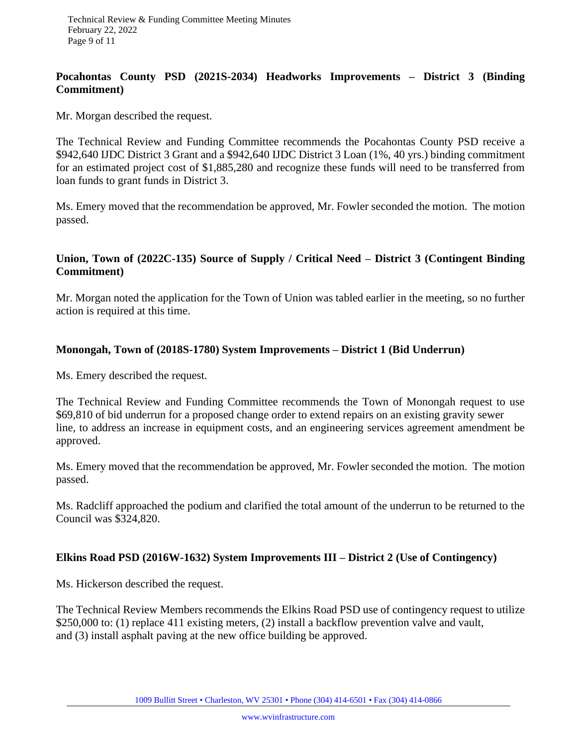#### **Pocahontas County PSD (2021S-2034) Headworks Improvements – District 3 (Binding Commitment)**

Mr. Morgan described the request.

The Technical Review and Funding Committee recommends the Pocahontas County PSD receive a \$942,640 IJDC District 3 Grant and a \$942,640 IJDC District 3 Loan (1%, 40 yrs.) binding commitment for an estimated project cost of \$1,885,280 and recognize these funds will need to be transferred from loan funds to grant funds in District 3.

Ms. Emery moved that the recommendation be approved, Mr. Fowler seconded the motion. The motion passed.

### **Union, Town of (2022C-135) Source of Supply / Critical Need – District 3 (Contingent Binding Commitment)**

Mr. Morgan noted the application for the Town of Union was tabled earlier in the meeting, so no further action is required at this time.

#### **Monongah, Town of (2018S-1780) System Improvements – District 1 (Bid Underrun)**

Ms. Emery described the request.

The Technical Review and Funding Committee recommends the Town of Monongah request to use \$69,810 of bid underrun for a proposed change order to extend repairs on an existing gravity sewer line, to address an increase in equipment costs, and an engineering services agreement amendment be approved.

Ms. Emery moved that the recommendation be approved, Mr. Fowler seconded the motion. The motion passed.

Ms. Radcliff approached the podium and clarified the total amount of the underrun to be returned to the Council was \$324,820.

#### **Elkins Road PSD (2016W-1632) System Improvements III – District 2 (Use of Contingency)**

Ms. Hickerson described the request.

The Technical Review Members recommends the Elkins Road PSD use of contingency request to utilize \$250,000 to: (1) replace 411 existing meters, (2) install a backflow prevention valve and vault, and (3) install asphalt paving at the new office building be approved.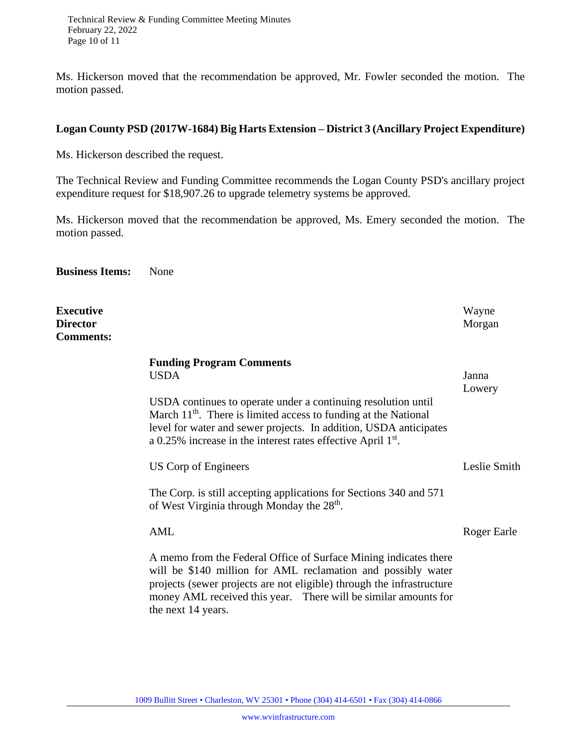Ms. Hickerson moved that the recommendation be approved, Mr. Fowler seconded the motion. The motion passed.

#### **Logan County PSD (2017W-1684) Big Harts Extension – District 3 (Ancillary Project Expenditure)**

Ms. Hickerson described the request.

The Technical Review and Funding Committee recommends the Logan County PSD's ancillary project expenditure request for \$18,907.26 to upgrade telemetry systems be approved.

Ms. Hickerson moved that the recommendation be approved, Ms. Emery seconded the motion. The motion passed.

**Business Items:** None

| <b>Executive</b><br><b>Director</b><br><b>Comments:</b> |                                                                                                                                                                                                                                                                                                                             | Wayne<br>Morgan |
|---------------------------------------------------------|-----------------------------------------------------------------------------------------------------------------------------------------------------------------------------------------------------------------------------------------------------------------------------------------------------------------------------|-----------------|
|                                                         | <b>Funding Program Comments</b><br><b>USDA</b><br>USDA continues to operate under a continuing resolution until<br>March $11th$ . There is limited access to funding at the National<br>level for water and sewer projects. In addition, USDA anticipates<br>a 0.25% increase in the interest rates effective April $1st$ . | Janna<br>Lowery |
|                                                         | US Corp of Engineers                                                                                                                                                                                                                                                                                                        | Leslie Smith    |
|                                                         | The Corp. is still accepting applications for Sections 340 and 571<br>of West Virginia through Monday the 28 <sup>th</sup> .                                                                                                                                                                                                |                 |
|                                                         | AML                                                                                                                                                                                                                                                                                                                         | Roger Earle     |
|                                                         | A memo from the Federal Office of Surface Mining indicates there<br>will be \$140 million for AML reclamation and possibly water<br>projects (sewer projects are not eligible) through the infrastructure<br>money AML received this year. There will be similar amounts for<br>the next 14 years.                          |                 |